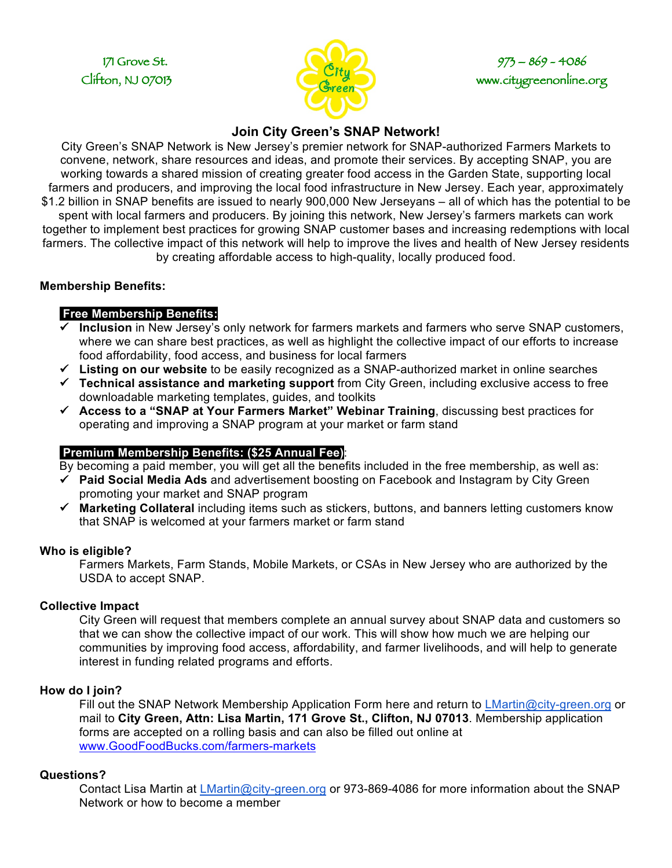

# 171 Grove St. 973 – 869 – 4086 Clifton, NJ 07013

# **Join City Green's SNAP Network!**

City Green's SNAP Network is New Jersey's premier network for SNAP-authorized Farmers Markets to convene, network, share resources and ideas, and promote their services. By accepting SNAP, you are working towards a shared mission of creating greater food access in the Garden State, supporting local farmers and producers, and improving the local food infrastructure in New Jersey. Each year, approximately \$1.2 billion in SNAP benefits are issued to nearly 900,000 New Jerseyans – all of which has the potential to be spent with local farmers and producers. By joining this network, New Jersey's farmers markets can work together to implement best practices for growing SNAP customer bases and increasing redemptions with local farmers. The collective impact of this network will help to improve the lives and health of New Jersey residents by creating affordable access to high-quality, locally produced food.

#### **Membership Benefits:**

## **Free Membership Benefits:**

- ü **Inclusion** in New Jersey's only network for farmers markets and farmers who serve SNAP customers, where we can share best practices, as well as highlight the collective impact of our efforts to increase food affordability, food access, and business for local farmers
- ü **Listing on our website** to be easily recognized as a SNAP-authorized market in online searches
- ü **Technical assistance and marketing support** from City Green, including exclusive access to free downloadable marketing templates, guides, and toolkits
- ü **Access to a "SNAP at Your Farmers Market" Webinar Training**, discussing best practices for operating and improving a SNAP program at your market or farm stand

### **Premium Membership Benefits: (\$25 Annual Fee)**:

By becoming a paid member, you will get all the benefits included in the free membership, as well as:

- ü **Paid Social Media Ads** and advertisement boosting on Facebook and Instagram by City Green promoting your market and SNAP program
- ü **Marketing Collateral** including items such as stickers, buttons, and banners letting customers know that SNAP is welcomed at your farmers market or farm stand

#### **Who is eligible?**

Farmers Markets, Farm Stands, Mobile Markets, or CSAs in New Jersey who are authorized by the USDA to accept SNAP.

### **Collective Impact**

City Green will request that members complete an annual survey about SNAP data and customers so that we can show the collective impact of our work. This will show how much we are helping our communities by improving food access, affordability, and farmer livelihoods, and will help to generate interest in funding related programs and efforts.

### **How do I join?**

Fill out the SNAP Network Membership Application Form here and return to LMartin@city-green.org or mail to **City Green, Attn: Lisa Martin, 171 Grove St., Clifton, NJ 07013**. Membership application forms are accepted on a rolling basis and can also be filled out online at www.GoodFoodBucks.com/farmers-markets

#### **Questions?**

Contact Lisa Martin at *LMartin@city-green.org* or 973-869-4086 for more information about the SNAP Network or how to become a member